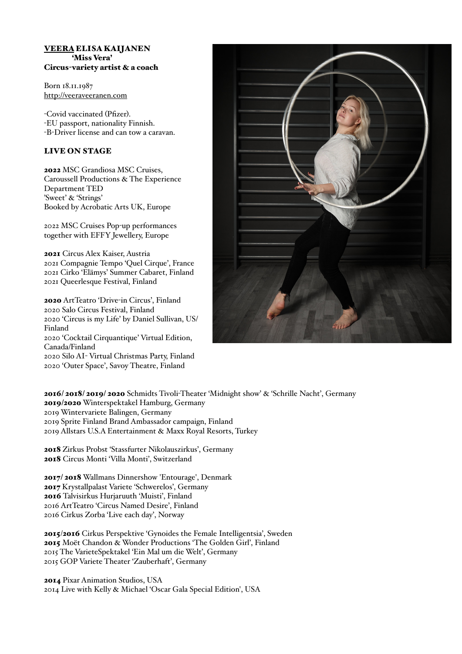## VEERA ELISA KAIJANEN 'Miss Vera' Circus-variety artist & a coach

Born 18.11.1987 <http://veeraveeranen.com>

-Covid vaccinated (Pfizer). -EU passport, nationality Finnish. -B-Driver license and can tow a caravan.

# LIVE ON STAGE

2022 MSC Grandiosa MSC Cruises, Caroussell Productions & The Experience Department TED 'Sweet' & 'Strings' Booked by Acrobatic Arts UK, Europe

2022 MSC Cruises Pop-up performances together with EFFY Jewellery, Europe

2021 Circus Alex Kaiser, Austria 2021 Compagnie Tempo 'Quel Cirque', France 2021 Cirko 'Elämys' Summer Cabaret, Finland 2021 Queerlesque Festival, Finland

2020 ArtTeatro 'Drive-in Circus', Finland 2020 Salo Circus Festival, Finland 2020 'Circus is my Life' by Daniel Sullivan, US/ Finland 2020 'Cocktail Cirquantique' Virtual Edition, Canada/Finland 2020 Silo AI- Virtual Christmas Party, Finland 2020 'Outer Space', Savoy Theatre, Finland



2016/ 2018/ 2019/ 2020 Schmidts Tivoli-Theater 'Midnight show' & 'Schrille Nacht', Germany 2019/2020 Winterspektakel Hamburg, Germany 2019 Wintervariete Balingen, Germany 2019 Sprite Finland Brand Ambassador campaign, Finland 2019 Allstars U.S.A Entertainment & Maxx Royal Resorts, Turkey

2018 Zirkus Probst 'Stassfurter Nikolauszirkus', Germany 2018 Circus Monti 'Villa Monti', Switzerland

2017/ 2018 Wallmans Dinnershow 'Entourage', Denmark 2017 Krystallpalast Variete 'Schwerelos', Germany 2016 Talvisirkus Hurjaruuth 'Muisti', Finland 2016 ArtTeatro 'Circus Named Desire', Finland 2016 Cirkus Zorba 'Live each day', Norway

2015/2016 Cirkus Perspektive 'Gynoides the Female Intelligentsia', Sweden 2015 Moët Chandon & Wonder Productions 'The Golden Girl', Finland 2015 The VarieteSpektakel 'Ein Mal um die Welt', Germany 2015 GOP Variete Theater 'Zauberhaft', Germany

2014 Pixar Animation Studios, USA 2014 Live with Kelly & Michael 'Oscar Gala Special Edition', USA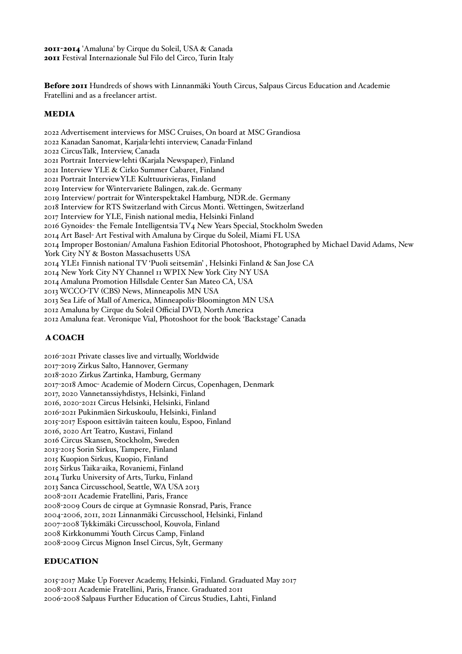2011-2014 'Amaluna' by Cirque du Soleil, USA & Canada 2011 Festival Internazionale Sul Filo del Circo, Turin Italy

Before 2011 Hundreds of shows with Linnanmäki Youth Circus, Salpaus Circus Education and Academie Fratellini and as a freelancer artist.

## MEDIA

2022 Advertisement interviews for MSC Cruises, On board at MSC Grandiosa 2022 Kanadan Sanomat, Karjala-lehti interview, Canada-Finland 2022 CircusTalk, Interview, Canada 2021 Portrait Interview-lehti (Karjala Newspaper), Finland 2021 Interview YLE & Cirko Summer Cabaret, Finland 2021 Portrait InterviewYLE Kulttuurivieras, Finland 2019 Interview for Wintervariete Balingen, zak.de. Germany 2019 Interview/ portrait for Winterspektakel Hamburg, NDR.de. Germany 2018 Interview for RTS Switzerland with Circus Monti. Wettingen, Switzerland 2017 Interview for YLE, Finish national media, Helsinki Finland 2016 Gynoides- the Female Intelligentsia TV4 New Years Special, Stockholm Sweden 2014 Art Basel- Art Festival with Amaluna by Cirque du Soleil, Miami FL USA 2014 Improper Bostonian/ Amaluna Fashion Editorial Photoshoot, Photographed by Michael David Adams, New York City NY & Boston Massachusetts USA 2014 YLE1 Finnish national TV 'Puoli seitsemän' , Helsinki Finland & San Jose CA 2014 New York City NY Channel 11 WPIX New York City NY USA 2014 Amaluna Promotion Hillsdale Center San Mateo CA, USA 2013 WCCO-TV (CBS) News, Minneapolis MN USA 2013 Sea Life of Mall of America, Minneapolis-Bloomington MN USA 2012 Amaluna by Cirque du Soleil Official DVD, North America 2012 Amaluna feat. Veronique Vial, Photoshoot for the book 'Backstage' Canada

#### A COACH

2016-2021 Private classes live and virtually, Worldwide 2017-2019 Zirkus Salto, Hannover, Germany 2018-2020 Zirkus Zartinka, Hamburg, Germany 2017-2018 Amoc- Academie of Modern Circus, Copenhagen, Denmark 2017, 2020 Vannetanssiyhdistys, Helsinki, Finland 2016, 2020-2021 Circus Helsinki, Helsinki, Finland 2016-2021 Pukinmäen Sirkuskoulu, Helsinki, Finland 2015-2017 Espoon esittävän taiteen koulu, Espoo, Finland 2016, 2020 Art Teatro, Kustavi, Finland 2016 Circus Skansen, Stockholm, Sweden 2013-2015 Sorin Sirkus, Tampere, Finland 2015 Kuopion Sirkus, Kuopio, Finland 2015 Sirkus Taika-aika, Rovaniemi, Finland 2014 Turku University of Arts, Turku, Finland 2013 Sanca Circusschool, Seattle, WA USA 2013 2008-2011 Academie Fratellini, Paris, France 2008-2009 Cours de cirque at Gymnasie Ronsrad, Paris, France 2004-2006, 2011, 2021 Linnanmäki Circusschool, Helsinki, Finland 2007-2008 Tykkimäki Circusschool, Kouvola, Finland 2008 Kirkkonummi Youth Circus Camp, Finland 2008-2009 Circus Mignon Insel Circus, Sylt, Germany

# EDUCATION

2015-2017 Make Up Forever Academy, Helsinki, Finland. Graduated May 2017 2008-2011 Academie Fratellini, Paris, France. Graduated 2011 2006-2008 Salpaus Further Education of Circus Studies, Lahti, Finland